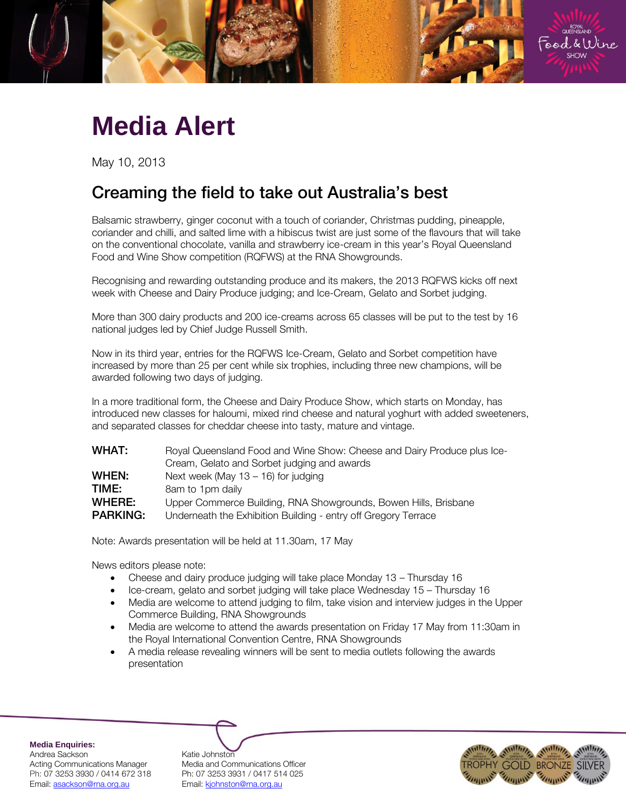

## **Media Alert**

May 10, 2013

## Creaming the field to take out Australia's best

Balsamic strawberry, ginger coconut with a touch of coriander, Christmas pudding, pineapple, coriander and chilli, and salted lime with a hibiscus twist are just some of the flavours that will take on the conventional chocolate, vanilla and strawberry ice-cream in this year's Royal Queensland Food and Wine Show competition (RQFWS) at the RNA Showgrounds.

Recognising and rewarding outstanding produce and its makers, the 2013 RQFWS kicks off next week with Cheese and Dairy Produce judging; and Ice-Cream, Gelato and Sorbet judging.

More than 300 dairy products and 200 ice-creams across 65 classes will be put to the test by 16 national judges led by Chief Judge Russell Smith.

Now in its third year, entries for the RQFWS Ice-Cream, Gelato and Sorbet competition have increased by more than 25 per cent while six trophies, including three new champions, will be awarded following two days of judging.

In a more traditional form, the Cheese and Dairy Produce Show, which starts on Monday, has introduced new classes for haloumi, mixed rind cheese and natural yoghurt with added sweeteners, and separated classes for cheddar cheese into tasty, mature and vintage.

| <b>WHAT:</b>    | Royal Queensland Food and Wine Show: Cheese and Dairy Produce plus Ice- |
|-----------------|-------------------------------------------------------------------------|
|                 | Cream, Gelato and Sorbet judging and awards                             |
| WHEN:           | Next week (May $13 - 16$ ) for judging                                  |
| TIME:           | 8am to 1pm daily                                                        |
| WHERE:          | Upper Commerce Building, RNA Showgrounds, Bowen Hills, Brisbane         |
| <b>PARKING:</b> | Underneath the Exhibition Building - entry off Gregory Terrace          |
|                 |                                                                         |

Note: Awards presentation will be held at 11.30am, 17 May

News editors please note:

- Cheese and dairy produce judging will take place Monday 13 Thursday 16
- Ice-cream, gelato and sorbet judging will take place Wednesday 15 Thursday 16
- Media are welcome to attend judging to film, take vision and interview judges in the Upper Commerce Building, RNA Showgrounds
- Media are welcome to attend the awards presentation on Friday 17 May from 11:30am in the Royal International Convention Centre, RNA Showgrounds
- A media release revealing winners will be sent to media outlets following the awards presentation

**Media Enquiries:** Andrea Sackson Katie Johnston Ph: 07 3253 3930 / 0414 672 318 Ph: 07 3253 3931 / 0417 514 025 Email: asackson@rna.org.au Fmail: kjohnston@rna.org.au

Acting Communications Manager Media and Communications Officer